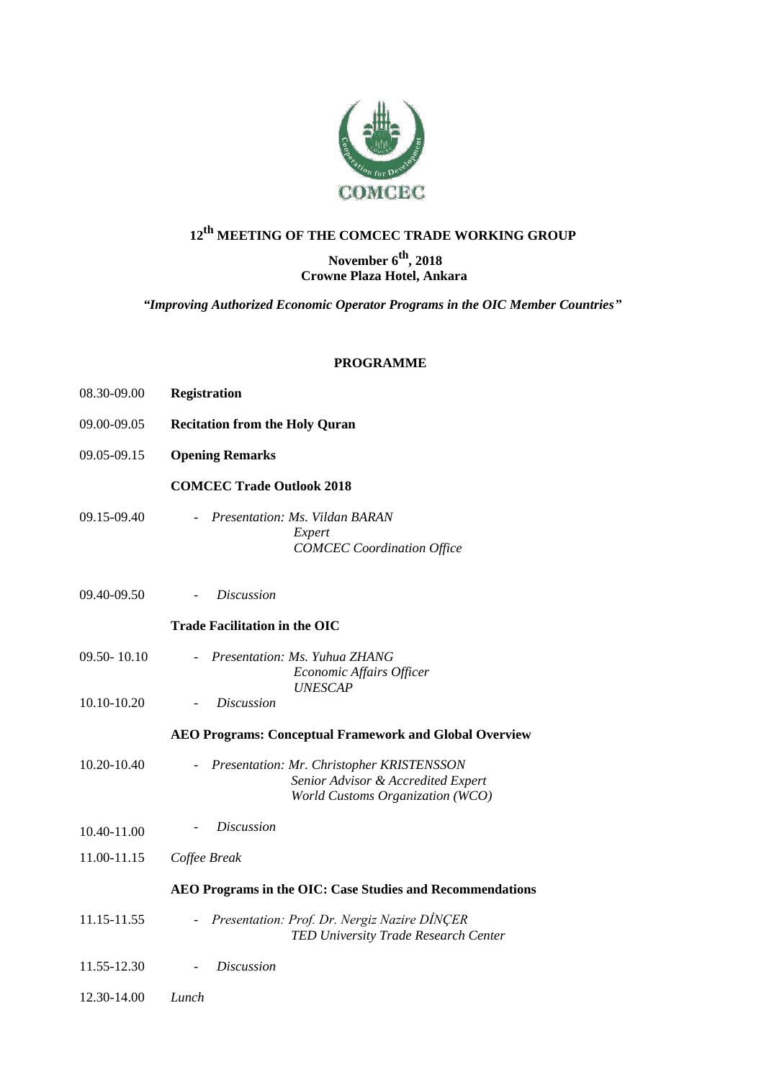

## **12th MEETING OF THE COMCEC TRADE WORKING GROUP**

## **November 6th, 2018 Crowne Plaza Hotel, Ankara**

*"Improving Authorized Economic Operator Programs in the OIC Member Countries"*

## **PROGRAMME**

| 08.30-09.00 | <b>Registration</b>                                                                                                 |
|-------------|---------------------------------------------------------------------------------------------------------------------|
| 09.00-09.05 | <b>Recitation from the Holy Quran</b>                                                                               |
| 09.05-09.15 | <b>Opening Remarks</b>                                                                                              |
|             | <b>COMCEC Trade Outlook 2018</b>                                                                                    |
| 09.15-09.40 | Presentation: Ms. Vildan BARAN<br>Expert<br><b>COMCEC</b> Coordination Office                                       |
| 09.40-09.50 | <b>Discussion</b>                                                                                                   |
|             | <b>Trade Facilitation in the OIC</b>                                                                                |
| 09.50-10.10 | Presentation: Ms. Yuhua ZHANG<br>Economic Affairs Officer<br><b>UNESCAP</b>                                         |
| 10.10-10.20 | <b>Discussion</b>                                                                                                   |
|             | <b>AEO Programs: Conceptual Framework and Global Overview</b>                                                       |
| 10.20-10.40 | Presentation: Mr. Christopher KRISTENSSON<br>Senior Advisor & Accredited Expert<br>World Customs Organization (WCO) |
| 10.40-11.00 | <i>Discussion</i>                                                                                                   |
| 11.00-11.15 | Coffee Break                                                                                                        |
|             | AEO Programs in the OIC: Case Studies and Recommendations                                                           |
| 11.15-11.55 | Presentation: Prof. Dr. Nergiz Nazire DINCER<br>TED University Trade Research Center                                |
| 11.55-12.30 | <b>Discussion</b>                                                                                                   |
| 12.30-14.00 | Lunch                                                                                                               |